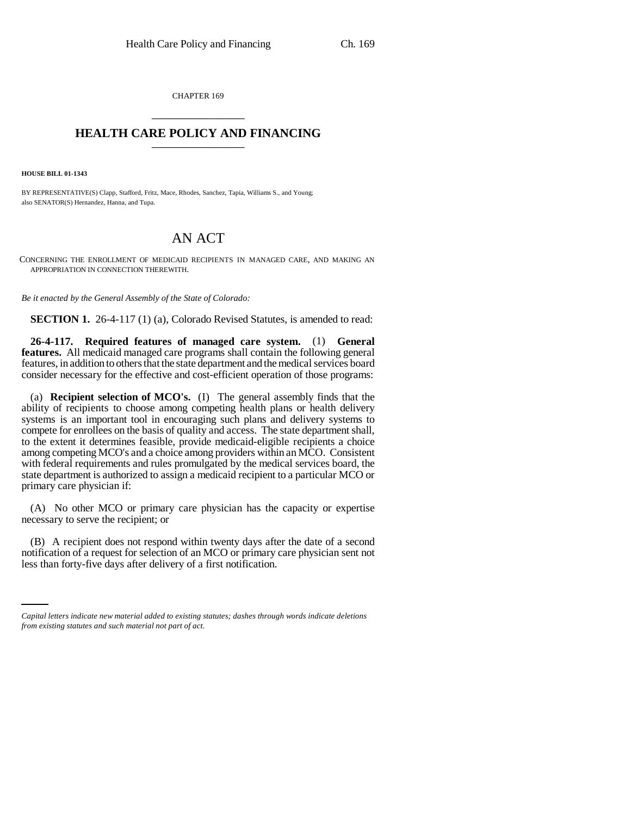CHAPTER 169 \_\_\_\_\_\_\_\_\_\_\_\_\_\_\_

## **HEALTH CARE POLICY AND FINANCING**

**HOUSE BILL 01-1343**

BY REPRESENTATIVE(S) Clapp, Stafford, Fritz, Mace, Rhodes, Sanchez, Tapia, Williams S., and Young; also SENATOR(S) Hernandez, Hanna, and Tupa.

## AN ACT

CONCERNING THE ENROLLMENT OF MEDICAID RECIPIENTS IN MANAGED CARE, AND MAKING AN APPROPRIATION IN CONNECTION THEREWITH.

*Be it enacted by the General Assembly of the State of Colorado:*

**SECTION 1.** 26-4-117 (1) (a), Colorado Revised Statutes, is amended to read:

**26-4-117. Required features of managed care system.** (1) **General features.** All medicaid managed care programs shall contain the following general features, in addition to others that the state department and the medical services board consider necessary for the effective and cost-efficient operation of those programs:

(a) **Recipient selection of MCO's.** (I) The general assembly finds that the ability of recipients to choose among competing health plans or health delivery systems is an important tool in encouraging such plans and delivery systems to compete for enrollees on the basis of quality and access. The state department shall, to the extent it determines feasible, provide medicaid-eligible recipients a choice among competing MCO's and a choice among providers within an MCO. Consistent with federal requirements and rules promulgated by the medical services board, the state department is authorized to assign a medicaid recipient to a particular MCO or primary care physician if:

(A) No other MCO or primary care physician has the capacity or expertise necessary to serve the recipient; or

notification of a request for selection of an MCO or primary care physician sent not (B) A recipient does not respond within twenty days after the date of a second less than forty-five days after delivery of a first notification.

*Capital letters indicate new material added to existing statutes; dashes through words indicate deletions from existing statutes and such material not part of act.*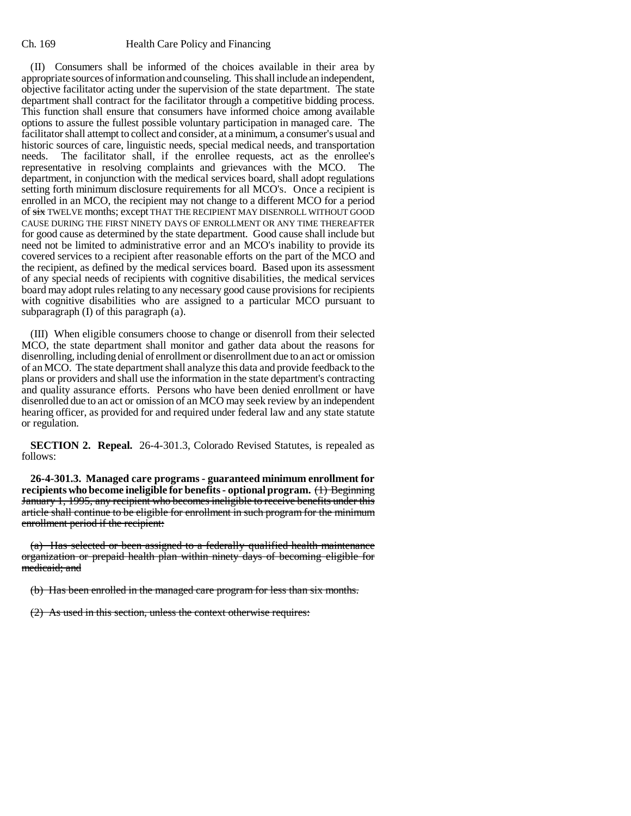## Ch. 169 Health Care Policy and Financing

(II) Consumers shall be informed of the choices available in their area by appropriate sources of information and counseling. This shall include an independent, objective facilitator acting under the supervision of the state department. The state department shall contract for the facilitator through a competitive bidding process. This function shall ensure that consumers have informed choice among available options to assure the fullest possible voluntary participation in managed care. The facilitator shall attempt to collect and consider, at a minimum, a consumer's usual and historic sources of care, linguistic needs, special medical needs, and transportation needs. The facilitator shall, if the enrollee requests, act as the enrollee's representative in resolving complaints and grievances with the MCO. The department, in conjunction with the medical services board, shall adopt regulations setting forth minimum disclosure requirements for all MCO's. Once a recipient is enrolled in an MCO, the recipient may not change to a different MCO for a period of six TWELVE months; except THAT THE RECIPIENT MAY DISENROLL WITHOUT GOOD CAUSE DURING THE FIRST NINETY DAYS OF ENROLLMENT OR ANY TIME THEREAFTER for good cause as determined by the state department. Good cause shall include but need not be limited to administrative error and an MCO's inability to provide its covered services to a recipient after reasonable efforts on the part of the MCO and the recipient, as defined by the medical services board. Based upon its assessment of any special needs of recipients with cognitive disabilities, the medical services board may adopt rules relating to any necessary good cause provisions for recipients with cognitive disabilities who are assigned to a particular MCO pursuant to subparagraph (I) of this paragraph (a).

(III) When eligible consumers choose to change or disenroll from their selected MCO, the state department shall monitor and gather data about the reasons for disenrolling, including denial of enrollment or disenrollment due to an act or omission of an MCO. The state department shall analyze this data and provide feedback to the plans or providers and shall use the information in the state department's contracting and quality assurance efforts. Persons who have been denied enrollment or have disenrolled due to an act or omission of an MCO may seek review by an independent hearing officer, as provided for and required under federal law and any state statute or regulation.

**SECTION 2. Repeal.** 26-4-301.3, Colorado Revised Statutes, is repealed as follows:

**26-4-301.3. Managed care programs - guaranteed minimum enrollment for recipients who become ineligible for benefits - optional program.** (1) Beginning January 1, 1995, any recipient who becomes ineligible to receive benefits under this article shall continue to be eligible for enrollment in such program for the minimum enrollment period if the recipient:

(a) Has selected or been assigned to a federally qualified health maintenance organization or prepaid health plan within ninety days of becoming eligible for medicaid; and

(b) Has been enrolled in the managed care program for less than six months.

(2) As used in this section, unless the context otherwise requires: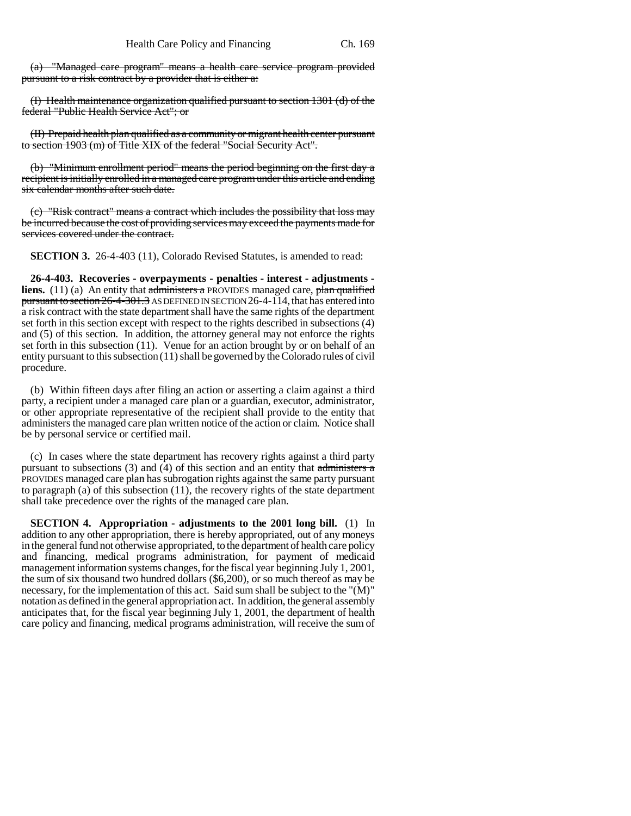(a) "Managed care program" means a health care service program provided pursuant to a risk contract by a provider that is either a:

(I) Health maintenance organization qualified pursuant to section 1301 (d) of the federal "Public Health Service Act"; or

(II) Prepaid health plan qualified as a community or migrant health center pursuant to section 1903 (m) of Title XIX of the federal "Social Security Act".

(b) "Minimum enrollment period" means the period beginning on the first day a recipient is initially enrolled in a managed care program under this article and ending six calendar months after such date.

(c) "Risk contract" means a contract which includes the possibility that loss may be incurred because the cost of providing services may exceed the payments made for services covered under the contract.

**SECTION 3.** 26-4-403 (11), Colorado Revised Statutes, is amended to read:

**26-4-403. Recoveries - overpayments - penalties - interest - adjustments liens.** (11) (a) An entity that administers a PROVIDES managed care, plan qualified pursuant to section 26-4-301.3 AS DEFINED IN SECTION 26-4-114, that has entered into a risk contract with the state department shall have the same rights of the department set forth in this section except with respect to the rights described in subsections (4) and (5) of this section. In addition, the attorney general may not enforce the rights set forth in this subsection (11). Venue for an action brought by or on behalf of an entity pursuant to this subsection (11) shall be governed by the Colorado rules of civil procedure.

(b) Within fifteen days after filing an action or asserting a claim against a third party, a recipient under a managed care plan or a guardian, executor, administrator, or other appropriate representative of the recipient shall provide to the entity that administers the managed care plan written notice of the action or claim. Notice shall be by personal service or certified mail.

(c) In cases where the state department has recovery rights against a third party pursuant to subsections  $(3)$  and  $(4)$  of this section and an entity that administers a PROVIDES managed care plan has subrogation rights against the same party pursuant to paragraph (a) of this subsection (11), the recovery rights of the state department shall take precedence over the rights of the managed care plan.

**SECTION 4. Appropriation - adjustments to the 2001 long bill.** (1) In addition to any other appropriation, there is hereby appropriated, out of any moneys in the general fund not otherwise appropriated, to the department of health care policy and financing, medical programs administration, for payment of medicaid management information systems changes, for the fiscal year beginning July 1, 2001, the sum of six thousand two hundred dollars (\$6,200), or so much thereof as may be necessary, for the implementation of this act. Said sum shall be subject to the "(M)" notation as defined in the general appropriation act. In addition, the general assembly anticipates that, for the fiscal year beginning July 1, 2001, the department of health care policy and financing, medical programs administration, will receive the sum of